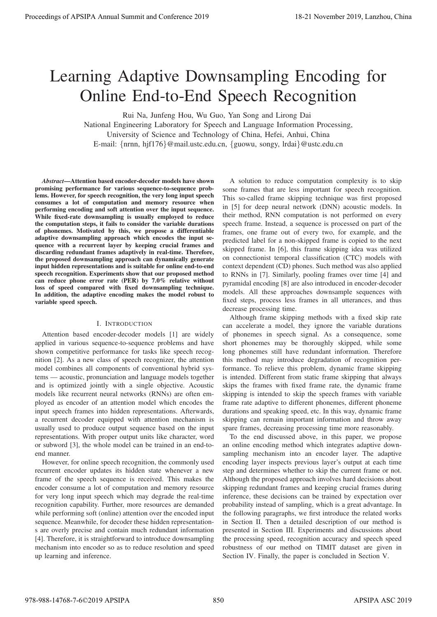# Learning Adaptive Downsampling Encoding for Online End-to-End Speech Recognition

Rui Na, Junfeng Hou, Wu Guo, Yan Song and Lirong Dai

National Engineering Laboratory for Speech and Language Information Processing, University of Science and Technology of China, Hefei, Anhui, China E-mail: {nrnn, hjf176}@mail.ustc.edu.cn, {guowu, songy, lrdai}@ustc.edu.cn

*Abstract*—Attention based encoder-decoder models have shown promising performance for various sequence-to-sequence problems. However, for speech recognition, the very long input speech consumes a lot of computation and memory resource when performing encoding and soft attention over the input sequence. While fixed-rate downsampling is usually employed to reduce the computation steps, it fails to consider the variable durations of phonemes. Motivated by this, we propose a differentiable adaptive downsampling approach which encodes the input sequence with a recurrent layer by keeping crucial frames and discarding redundant frames adaptively in real-time. Therefore, the proposed downsampling approach can dynamically generate input hidden representations and is suitable for online end-to-end speech recognition. Experiments show that our proposed method can reduce phone error rate (PER) by 7.0% relative without loss of speed compared with fixed downsampling technique. In addition, the adaptive encoding makes the model robust to variable speed speech.

# I. INTRODUCTION

Attention based encoder-decoder models [1] are widely applied in various sequence-to-sequence problems and have shown competitive performance for tasks like speech recognition [2]. As a new class of speech recognizer, the attention model combines all components of conventional hybrid systems — acoustic, pronunciation and language models together and is optimized jointly with a single objective. Acoustic models like recurrent neural networks (RNNs) are often employed as encoder of an attention model which encodes the input speech frames into hidden representations. Afterwards, a recurrent decoder equipped with attention mechanism is usually used to produce output sequence based on the input representations. With proper output units like character, word or subword [3], the whole model can be trained in an end-toend manner.

However, for online speech recognition, the commonly used recurrent encoder updates its hidden state whenever a new frame of the speech sequence is received. This makes the encoder consume a lot of computation and memory resource for very long input speech which may degrade the real-time recognition capability. Further, more resources are demanded while performing soft (online) attention over the encoded input sequence. Meanwhile, for decoder these hidden representations are overly precise and contain much redundant information [4]. Therefore, it is straightforward to introduce downsampling mechanism into encoder so as to reduce resolution and speed up learning and inference.

A solution to reduce computation complexity is to skip some frames that are less important for speech recognition. This so-called frame skipping technique was first proposed in [5] for deep neural network (DNN) acoustic models. In their method, RNN computation is not performed on every speech frame. Instead, a sequence is processed on part of the frames, one frame out of every two, for example, and the predicted label for a non-skipped frame is copied to the next skipped frame. In [6], this frame skipping idea was utilized on connectionist temporal classification (CTC) models with context dependent (CD) phones. Such method was also applied to RNNs in [7]. Similarly, pooling frames over time [4] and pyramidal encoding [8] are also introduced in encoder-decoder models. All these approaches downsample sequences with fixed steps, process less frames in all utterances, and thus decrease processing time. **Proceedings of APSIPA Annual Summit at Co-Free 2019**<br> **Learning Adaptive Downstampling Encoding for Conference 2019**<br> **Conference 2019**<br> **Summit and Conference 2019**<br>
Summit and Conference 2019<br>
Summit and Conference 201

Although frame skipping methods with a fixed skip rate can accelerate a model, they ignore the variable durations of phonemes in speech signal. As a consequence, some short phonemes may be thoroughly skipped, while some long phonemes still have redundant information. Therefore this method may introduce degradation of recognition performance. To relieve this problem, dynamic frame skipping is intended. Different from static frame skipping that always skips the frames with fixed frame rate, the dynamic frame skipping is intended to skip the speech frames with variable frame rate adaptive to different phonemes, different phoneme durations and speaking speed, etc. In this way, dynamic frame skipping can remain important information and throw away spare frames, decreasing processing time more reasonably.

To the end discussed above, in this paper, we propose an online encoding method which integrates adaptive downsampling mechanism into an encoder layer. The adaptive encoding layer inspects previous layer's output at each time step and determines whether to skip the current frame or not. Although the proposed approach involves hard decisions about skipping redundant frames and keeping crucial frames during inference, these decisions can be trained by expectation over probability instead of sampling, which is a great advantage. In the following paragraphs, we first introduce the related works in Section II. Then a detailed description of our method is presented in Section III. Experiments and discussions about the processing speed, recognition accuracy and speech speed robustness of our method on TIMIT dataset are given in Section IV. Finally, the paper is concluded in Section V.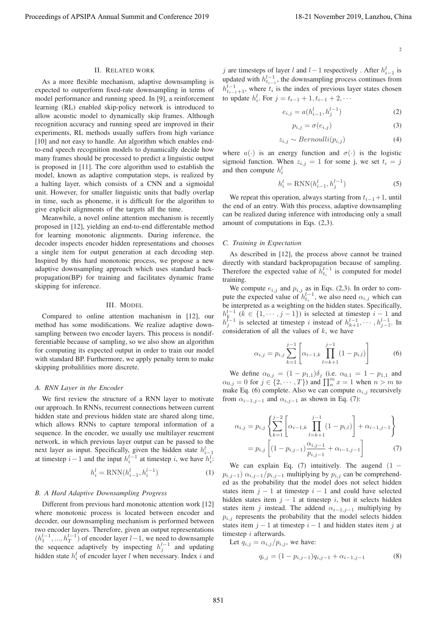$$
2 \\
$$

## II. RELATED WORK

As a more flexible mechanism, adaptive downsampling is expected to outperform fixed-rate downsampling in terms of model performance and running speed. In [9], a reinforcement learning (RL) enabled skip-policy network is introduced to allow acoustic model to dynamically skip frames. Although recognition accuracy and running speed are improved in their experiments, RL methods usually suffers from high variance [10] and not easy to handle. An algorithm which enables endto-end speech recognition models to dynamically decide how many frames should be processed to predict a linguistic output is proposed in [11]. The core algorithm used to establish the model, known as adaptive computation steps, is realized by a halting layer, which consists of a CNN and a sigmoidal unit. However, for smaller linguistic units that badly overlap in time, such as phoneme, it is difficult for the algorithm to give explicit alignments of the targets all the time. Proceeding of APSIPA Annual Summit and Conference 2019 18-21 November 2019 18-21 November 2019 18-21 November 2019 18-21 November 2019 18-21 November 2019 18-21 November 2019 18-21 November 2019 18-21 November 2019 18-21

Meanwhile, a novel online attention mechanism is recently proposed in [12], yielding an end-to-end differentable method for learning monotonic alignments. During inference, the decoder inspects encoder hidden representations and chooses a single item for output generation at each decoding step. Inspired by this hard monotonic process, we propose a new adaptive downsampling approach which uses standard backpropagation(BP) for training and facilitates dynamic frame skipping for inference.

#### III. MODEL

Compared to online attention machanism in [12], our method has some modifications. We realize adaptive downsampling between two encoder layers. This process is nondifferentiable because of sampling, so we also show an algorithm for computing its expected output in order to train our model with standard BP. Furthermore, we apply penalty term to make skipping probalilities more discrete.

## *A. RNN Layer in the Encoder*

We first review the structure of a RNN layer to motivate our approach. In RNNs, recurrent connections between current hidden state and previous hidden state are shared along time, which allows RNNs to capture temporal information of a sequence. In the encoder, we usually use multilayer reucrrent network, in which previous layer output can be passed to the next layer as input. Specifically, given the hidden state  $h_{i-1}^l$ <br>at timester  $i$  and the input  $h^{l-1}$  at timester  $i$  we have  $h^{l}$ . at timestep  $i-1$  and the input  $h_i^{l-1}$  at timestep i, we have  $h_i^{l}$ .

$$
h_i^l = \text{RNN}(h_{i-1}^l, h_i^{l-1})
$$
\n(1)

## *B. A Hard Adaptive Downsampling Progress*

Different from previous hard monotonic attention work [12] where monotonic process is located between encoder and decoder, our downsampling mechanism is performed between two encoder layers. Therefore, given an output representations  $(h_1^{l-1},..., h_r^{l-1})$  of encoder layer  $l-1$ , we need to downsample<br>the sequence adaptively by inspecting  $h^{l-1}$  and undating the sequence adaptively by inspecting  $h_j^{l-1}$  and updating<br>hidden state  $h^l$  of encoder layer l when necessary Index i and hidden state  $h_i^l$  of encoder layer l when necessary. Index i and

j are timesteps of layer l and l – 1 respectively. After  $h_{i-1}^l$  is updated with  $h_{t_{i-1}}^{l-1}$ , the downsampling process continues from  $h_{t_{i-1}+1}^{l-1}$ , where  $t_i$  is the index of previous layer states chosen to update  $h_i^l$ . For  $j = t_{i-1} + 1, t_{i-1} + 2, \cdots$ 

$$
e_{i,j} = a(h_{i-1}^l, h_j^{l-1})
$$
 (2)

$$
p_{i,j} = \sigma(e_{i,j})
$$
\n(3)

$$
z_{i,j} \sim Bernoulli(p_{i,j})
$$
 (4)

where  $a(\cdot)$  is an energy function and  $\sigma(\cdot)$  is the logistic sigmoid function. When  $z_{i,j} = 1$  for some j, we set  $t_i = j$ and then compute  $h_i^l$ 

$$
h_i^l = \text{RNN}(h_{i-1}^l, h_j^{l-1})
$$
\n(5)

We repeat this operation, always starting from  $t_{i-1}+1$ , until the end of an entry. With this process, adaptive downsampling can be realized during inference with introducing only a small amount of computations in Eqs. (2,3).

# *C. Training in Expectation*

As described in [12], the process above cannot be trained directly with standard backpropagation because of sampling. Therefore the expected value of  $h_t^{l-1}$  is computed for model training.

We compute  $e_{i,j}$  and  $p_{i,j}$  as in Eqs. (2,3). In order to com-<br>pute the expected value of  $h_{t_i}^{l-1}$ , we also need  $\alpha_{i,j}$  which can<br>be interpreted as a weighting on the hidden states. Specifically be interpreted as a weighting on the hidden states. Specifically,  $h_k^{l-1}$  ( $k \in \{1, \dots, j-1\}$ ) is selected at timestep  $i-1$  and  $h^{l-1}$  is selected at timestep *i* instead of  $h^{l-1}$  is  $h^{l-1}$  .  $h_{j-1}^{k-1}$  is selected at timestep i instead of  $h_{k+1}^{l-1}, \dots, h_{j-1}^{l-1}$ . In consideration of all the values of k we have consideration of all the values of  $k$ , we have

$$
\alpha_{i,j} = p_{i,j} \sum_{k=1}^{j-1} \left[ \alpha_{i-1,k} \prod_{l=k+1}^{j-1} (1 - p_{i,l}) \right]
$$
 (6)

We define  $\alpha_{0,j} = (1 - p_{1,1})\delta_j$  (i.e.  $\alpha_{0,1} = 1 - p_{1,1}$  and  $\alpha_{0,j} = 0$  for  $j \in \{2, \dots, T\}$ ) and  $\prod_{n=1}^{m} x = 1$  when  $n > m$  to make Eq. (6) complete. Also we can compute  $\alpha_{1,1}$  recursively make Eq. (6) complete. Also we can compute  $\alpha_{i,j}$  recursively from  $\alpha_{i-1,j-1}$  and  $\alpha_{i,j-1}$  as shown in Eq. (7):

$$
\alpha_{i,j} = p_{i,j} \left\{ \sum_{k=1}^{j-2} \left[ \alpha_{i-1,k} \prod_{l=k+1}^{j-1} (1 - p_{i,l}) \right] + \alpha_{i-1,j-1} \right\}
$$

$$
= p_{i,j} \left[ (1 - p_{i,j-1}) \frac{\alpha_{i,j-1}}{p_{i,j-1}} + \alpha_{i-1,j-1} \right]
$$
(7)

We can explain Eq. (7) intuitively. The augend  $(1$  $p_{i,j-1}$ )  $\alpha_{i,j-1}/p_{i,j-1}$  multiplying by  $p_{i,j}$  can be comprehended as the probability that the model does not select hidden states item  $j - 1$  at timestep  $i - 1$  and could have selected hidden states item  $j - 1$  at timestep i, but it selects hidden states item j instead. The addend  $\alpha_{i-1,j-1}$  multiplying by  $p_{i,j}$  represents the probability that the model selects hidden states item  $j - 1$  at timestep  $i - 1$  and hidden states item j at timestep *i* afterwards.<br>Let  $q_{i,i} = \alpha_{i,i}/p_{i,i}$ 

Let 
$$
q_{i,j} = \alpha_{i,j}/p_{i,j}
$$
, we have:

$$
q_{i,j} = (1 - p_{i,j-1})q_{i,j-1} + \alpha_{i-1,j-1}
$$
 (8)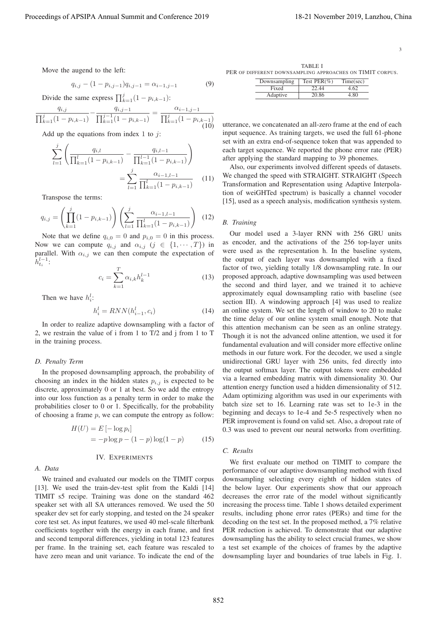3

Move the augend to the left:

$$
q_{i,j} - (1 - p_{i,j-1})q_{i,j-1} = \alpha_{i-1,j-1}
$$
 (9)

Divide the same express  $\prod_{k=1}^{j} (1 - p_{i,k-1})$ :

$$
\frac{q_{i,j}}{\prod_{k=1}^{j}(1-p_{i,k-1})} - \frac{q_{i,j-1}}{\prod_{k=1}^{j-1}(1-p_{i,k-1})} = \frac{\alpha_{i-1,j-1}}{\prod_{k=1}^{j}(1-p_{i,k-1})}
$$
(10)

Add up the equations from index 1 to  $i$ :

$$
\sum_{l=1}^{j} \left( \frac{q_{i,l}}{\prod_{k=1}^{l} (1 - p_{i,k-1})} - \frac{q_{i,l-1}}{\prod_{k=1}^{l-1} (1 - p_{i,k-1})} \right)
$$

$$
= \sum_{l=1}^{j} \frac{\alpha_{i-1,l-1}}{\prod_{k=1}^{l} (1 - p_{i,k-1})} \qquad (11)
$$

Transpose the terms:

$$
q_{i,j} = \left(\prod_{k=1}^{j} (1 - p_{i,k-1})\right) \left(\sum_{l=1}^{j} \frac{\alpha_{i-1,l-1}}{\prod_{k=1}^{l} (1 - p_{i,k-1})}\right) (12)
$$

Note that we define  $q_{i,0} = 0$  and  $p_{i,0} = 0$  in this process. Now we can compute  $q_{i,j}$  and  $\alpha_{i,j}$   $(j \in \{1, \dots, T\})$  in parallel. With  $\alpha_{i,j}$  we can then compute the expectation of  $\hat{h}_{ti}^{l-1}$ :

$$
c_i = \sum_{k=1}^{T} \alpha_{i,k} h_k^{l-1}
$$
 (13)

Then we have  $h_i^l$ :

$$
h_i^l = RNN(h_{i-1}^l, c_i)
$$
\n<sup>(14)</sup>

In order to realize adaptive downsampling with a factor of 2, we restrain the value of i from 1 to T/2 and j from 1 to T in the training process.

#### *D. Penalty Term*

In the proposed downsampling approach, the probability of choosing an index in the hidden states  $p_{i,j}$  is expected to be discrete, approximately 0 or 1 at best. So we add the entropy into our loss function as a penalty term in order to make the probabilities closer to 0 or 1. Specifically, for the probability of choosing a frame  $p$ , we can compute the entropy as follow:

$$
H(U) = E [-\log p_i]
$$
  
=  $-p \log p - (1 - p) \log(1 - p)$  (15)

#### IV. EXPERIMENTS

## *A. Data*

We trained and evaluated our models on the TIMIT corpus [13]. We used the train-dev-test split from the Kaldi [14] TIMIT s5 recipe. Training was done on the standard 462 speaker set with all SA utterances removed. We used the 50 speaker dev set for early stopping, and tested on the 24 speaker core test set. As input features, we used 40 mel-scale filterbank coefficients together with the energy in each frame, and first and second temporal differences, yielding in total 123 features per frame. In the training set, each feature was rescaled to have zero mean and unit variance. To indicate the end of the

TABLE I PER OF DIFFERENT DOWNSAMPLING APPROACHES ON TIMIT CORPUS.

| Downsampling | Test $PER(\%)$ | Time(sec) |
|--------------|----------------|-----------|
| Fixed        | 22.44          | 4 62      |
| Adaptive     | 20.86          | -80       |

utterance, we concatenated an all-zero frame at the end of each input sequence. As training targets, we used the full 61-phone set with an extra end-of-sequence token that was appended to each target sequence. We reported the phone error rate (PER) after applying the standard mapping to 39 phonemes.

Also, our experiments involved different speeds of datasets. We changed the speed with STRAIGHT. STRAIGHT (Speech Transformation and Representation using Adaptive Interpolation of weiGHTed spectrum) is basically a channel vocoder [15], used as a speech analysis, modification synthesis system.

# *B. Training*

Our model used a 3-layer RNN with 256 GRU units as encoder, and the activations of the 256 top-layer units were used as the representation h. In the baseline system, the output of each layer was downsampled with a fixed factor of two, yielding totally 1/8 downsampling rate. In our proposed approach, adaptive downsampling was used between the second and third layer, and we trained it to achieve approximately equal downsampling ratio with baseline (see section III). A windowing approach [4] was used to realize an online system. We set the length of window to 20 to make the time delay of our online system small enough. Note that this attention mechanism can be seen as an online strategy. Though it is not the advanced online attention, we used it for fundamental evaluation and will consider more effective online methods in our future work. For the decoder, we used a single unidirectional GRU layer with 256 units, fed directly into the output softmax layer. The output tokens were embedded via a learned embedding matrix with dimensionality 30. Our attention energy function used a hidden dimensionality of 512. Adam optimizing algorithm was used in our experiments with batch size set to 16. Learning rate was set to 1e-3 in the beginning and decays to 1e-4 and 5e-5 respectively when no PER improvement is found on valid set. Also, a dropout rate of 0.3 was used to prevent our neural networks from overfitting. Proceeding of APSIPA Annual Summit at Co-Co-co-2019 18-21 November 2019<br>
Note the magnificant energy of APSIPA Annual Summit and Conference 2019<br>
Processor and Co-Co-Co-Co-Co-co-2019<br>
Determine the magnificant energy of A

## *C. Results*

We first evaluate our method on TIMIT to compare the performance of our adaptive downsampling method with fixed downsampling selecting every eighth of hidden states of the below layer. Our experiments show that our approach decreases the error rate of the model without significantly increasing the process time. Table 1 shows detailed experiment results, including phone error rates (PERs) and time for the decoding on the test set. In the proposed method, a 7% relative PER reduction is achieved. To demonstrate that our adaptive downsampling has the ability to select crucial frames, we show a test set example of the choices of frames by the adaptive downsampling layer and boundaries of true labels in Fig. 1.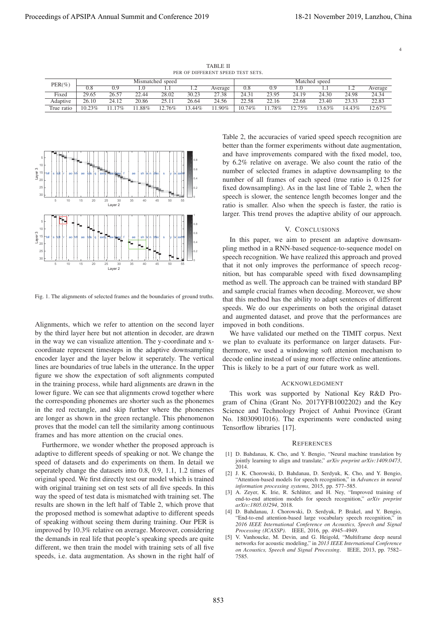4

TABLE II PER OF DIFFERENT SPEED TEST SETS.

| $PER(\%)$       | Mismatched speed |       |       |           |                | Matched speed |        |       |       |          |        |           |
|-----------------|------------------|-------|-------|-----------|----------------|---------------|--------|-------|-------|----------|--------|-----------|
|                 | 0.8              | 0.9   |       |           | $\overline{1}$ | Average       | 0.8    | 0.9   |       |          | .      | Average   |
| Fixed           | 29.65            | 26.57 | 22.44 | 28.02     | 30.23          | 27.38         | 24.31  | 23.95 | 24.19 | 24.30    | 24.98  | 24.34     |
| <b>Adaptive</b> | 26.10            | 24.12 | 20.86 | 25.11     | 26.64          | 24.56         | 22.58  | 22.16 | 22.68 | 23.40    | 23.33  | 22.83     |
| True ratio      | 10.23%           | 17%   | .88%  | $12.76\%$ | 3.44%          | 1.90%         | 10.74% | 78%   | 75%   | $3.63\%$ | 14.43% | $12.67\%$ |



Fig. 1. The alignments of selected frames and the boundaries of ground truths.

Alignments, which we refer to attention on the second layer by the third layer here but not attention in decoder, are drawn in the way we can visualize attention. The y-coordinate and xcoordinate represent timesteps in the adaptive downsampling encoder layer and the layer below it seperately. The vertical lines are boundaries of true labels in the utterance. In the upper figure we show the expectation of soft alignments computed in the training process, while hard alignments are drawn in the lower figure. We can see that alignments crowd together where the corresponding phonemes are shorter such as the phonemes in the red rectangle, and skip further where the phonemes are longer as shown in the green rectangle. This phenomenon proves that the model can tell the similarity among continuous frames and has more attention on the crucial ones.

Furthermore, we wonder whether the proposed approach is adaptive to different speeds of speaking or not. We change the speed of datasets and do experiments on them. In detail we seperately change the datasets into 0.8, 0.9, 1.1, 1.2 times of original speed. We first directly test our model which is trained with original training set on test sets of all five speeds. In this way the speed of test data is mismatched with training set. The results are shown in the left half of Table 2, which prove that the proposed method is somewhat adaptive to different speeds of speaking without seeing them during training. Our PER is improved by 10.3% relative on average. Moreover, considering the demands in real life that people's speaking speeds are quite different, we then train the model with training sets of all five speeds, i.e. data augmentation. As shown in the right half of Table 2, the accuracies of varied speed speech recognition are better than the former experiments without date augmentation, and have improvements compared with the fixed model, too, by 6.2% relative on average. We also count the ratio of the number of selected frames in adaptive downsampling to the number of all frames of each speed (true ratio is 0.125 for fixed downsampling). As in the last line of Table 2, when the speech is slower, the sentence length becomes longer and the ratio is smaller. Also when the speech is faster, the ratio is larger. This trend proves the adaptive ability of our approach.

## V. CONCLUSIONS

In this paper, we aim to present an adaptive downsampling method in a RNN-based sequence-to-sequence model on speech recognition. We have realized this approach and proved that it not only improves the performance of speech recognition, but has comparable speed with fixed downsampling method as well. The approach can be trained with standard BP and sample crucial frames when decoding. Moreover, we show that this method has the ability to adapt sentences of different speeds. We do our experiments on both the original dataset and augmented dataset, and prove that the performances are impoved in both conditions.

We have validated our methed on the TIMIT corpus. Next we plan to evaluate its performance on larger datasets. Furthermore, we used a windowing soft attenion mechanism to decode online instead of using more effective online attentions. This is likely to be a part of our future work as well.

#### ACKNOWLEDGMENT

This work was supported by National Key R&D Program of China (Grant No. 2017YFB1002202) and the Key Science and Technology Project of Anhui Province (Grant No. 18030901016). The experiments were conducted using Tensorflow libraries [17].

#### **REFERENCES**

- [1] D. Bahdanau, K. Cho, and Y. Bengio, "Neural machine translation by jointly learning to align and translate," *arXiv preprint arXiv:1409.0473*,  $2014.$
- [2] J. K. Chorowski, D. Bahdanau, D. Serdyuk, K. Cho, and Y. Bengio, "Attention-based models for speech recognition," in *Advances in neural information processing systems*, 2015, pp. 577–585.
- [3] A. Zeyer, K. Irie, R. Schlüter, and H. Ney, "Improved training of end-to-end attention models for speech recognition," *arXiv preprint arXiv:1805.03294*, 2018.
- [4] D. Bahdanau, J. Chorowski, D. Serdyuk, P. Brakel, and Y. Bengio, "End-to-end attention-based large vocabulary speech recognition," *2016 IEEE International Conference on Acoustics, Speech and Signal Processing (ICASSP)*. IEEE, 2016, pp. 4945–4949.
- [5] V. Vanhoucke, M. Devin, and G. Heigold, "Multiframe deep neural networks for acoustic modeling," in *2013 IEEE International Conference on Acoustics, Speech and Signal Processing*. IEEE, 2013, pp. 7582– 7585.